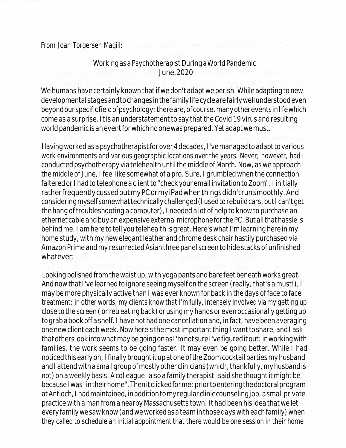From Joan Torgersen Magill:

## Workingasa Psychotherapist DuringaWorldPandemic June,2020

We humans have certainly known that if we don't adapt we perish. While adapting to new developmentalstagesandtochangesinthefamilylifecyclearefairlywellunderstoodeven beyondourspecificfieldofpsychology;thereare,ofcourse,manyothereventsinlifewhich come as a surprise. It is an understatement to say that the Covid 19 virus and resulting world pandemic is an event for which no one was prepared. Yet adapt we must.

Having worked as a psychotherapist for over 4 decades, I've managed to adapt to various work environments and various geographic locations over the years. Never; however, had I conducted psychotherapy via telehealth until the middle of March. Now, as we approach the middle of June, I feel like somewhat of a pro. Sure, I grumbled when the connection faltered or I had to telephone a client to "check your email invitation to Zoom". I initially ratherfrequentlycussedoutmyPCormyiPadwhenthingsdidn'trunsmoothly.And considering myself somewhat technically challenged (I used to rebuild cars, but I can't get the hang of troubleshooting a computer), I needed a lot of help to know to purchase an ethernet cable and buy an expensive external microphone for the PC. But all that hassle is behindme. I am here to tell you telehealth is great. Here's what I'm learning here in my home study, with my new elegant leather and chrome desk chair hastily purchased via Amazon Prime and my resurrected Asian three panel screen to hide stacks of unfinished whatever:

Looking polished from the waist up, with yoga pants and bare feet beneath works great. And now that I've learned to ignore seeing myself on the screen (really, that's a must!), I may be more physically active than I was ever known for back in the days of face to face treatment; in other words, my clients know that I'm fully, intensely involved via my getting up close to the screen ( or retreating back) orusingmy hands or evenoccasionally getting up to grab a book off a shelf. I have not had one cancellation and, in fact, have been averaging one new client each week. Now here's the most important thing I want to share, and I ask thatotherslookintowhatmaybegoingonasI'mnot sureI'vefigureditout: inworkingwith families, the work seems to be going faster. It may even be going better. While I had noticed this early on, I finally brought it up at one of the Zoom cocktail parties my husband and I attend with a small group of mostly other clinicians (which, thankfully, my husband is not) on a weekly basis. A colleague -also a family therapist-said she thought it might be because I was "in their home". Then it clicked for me: prior to entering the doctoral program at Antioch, I had maintained, in addition to my regular clinic counseling job, a small private practice with a man from a nearby Massachusetts town. It had been his idea that we let everyfamily wesaw know (and we workedasa teaminthosedays witheachfamily) when they called to schedule an initial appointment that there would be one session in their home